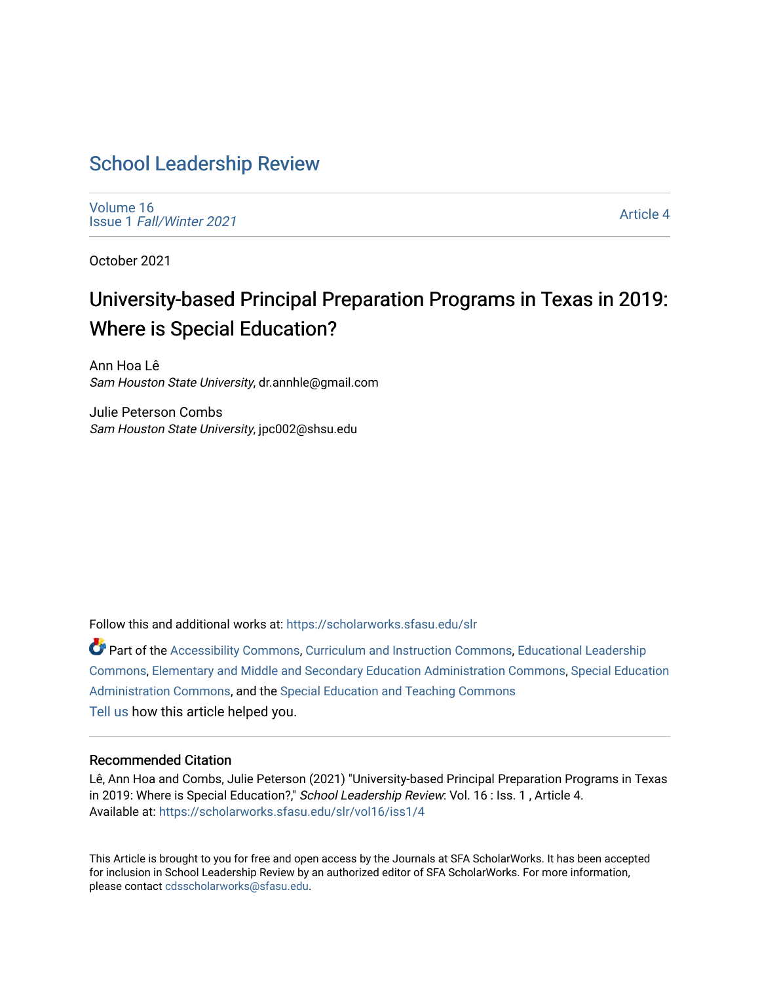# [School Leadership Review](https://scholarworks.sfasu.edu/slr)

[Volume 16](https://scholarworks.sfasu.edu/slr/vol16) Issue 1 [Fall/Winter 2021](https://scholarworks.sfasu.edu/slr/vol16/iss1) 

[Article 4](https://scholarworks.sfasu.edu/slr/vol16/iss1/4) 

October 2021

# University-based Principal Preparation Programs in Texas in 2019: Where is Special Education?

Ann Hoa Lê Sam Houston State University, dr.annhle@gmail.com

Julie Peterson Combs Sam Houston State University, jpc002@shsu.edu

Follow this and additional works at: [https://scholarworks.sfasu.edu/slr](https://scholarworks.sfasu.edu/slr?utm_source=scholarworks.sfasu.edu%2Fslr%2Fvol16%2Fiss1%2F4&utm_medium=PDF&utm_campaign=PDFCoverPages) 

Part of the [Accessibility Commons,](http://network.bepress.com/hgg/discipline/1318?utm_source=scholarworks.sfasu.edu%2Fslr%2Fvol16%2Fiss1%2F4&utm_medium=PDF&utm_campaign=PDFCoverPages) [Curriculum and Instruction Commons,](http://network.bepress.com/hgg/discipline/786?utm_source=scholarworks.sfasu.edu%2Fslr%2Fvol16%2Fiss1%2F4&utm_medium=PDF&utm_campaign=PDFCoverPages) [Educational Leadership](http://network.bepress.com/hgg/discipline/1230?utm_source=scholarworks.sfasu.edu%2Fslr%2Fvol16%2Fiss1%2F4&utm_medium=PDF&utm_campaign=PDFCoverPages)  [Commons](http://network.bepress.com/hgg/discipline/1230?utm_source=scholarworks.sfasu.edu%2Fslr%2Fvol16%2Fiss1%2F4&utm_medium=PDF&utm_campaign=PDFCoverPages), [Elementary and Middle and Secondary Education Administration Commons,](http://network.bepress.com/hgg/discipline/790?utm_source=scholarworks.sfasu.edu%2Fslr%2Fvol16%2Fiss1%2F4&utm_medium=PDF&utm_campaign=PDFCoverPages) [Special Education](http://network.bepress.com/hgg/discipline/788?utm_source=scholarworks.sfasu.edu%2Fslr%2Fvol16%2Fiss1%2F4&utm_medium=PDF&utm_campaign=PDFCoverPages) [Administration Commons,](http://network.bepress.com/hgg/discipline/788?utm_source=scholarworks.sfasu.edu%2Fslr%2Fvol16%2Fiss1%2F4&utm_medium=PDF&utm_campaign=PDFCoverPages) and the [Special Education and Teaching Commons](http://network.bepress.com/hgg/discipline/801?utm_source=scholarworks.sfasu.edu%2Fslr%2Fvol16%2Fiss1%2F4&utm_medium=PDF&utm_campaign=PDFCoverPages)  [Tell us](http://sfasu.qualtrics.com/SE/?SID=SV_0qS6tdXftDLradv) how this article helped you.

#### Recommended Citation

Lê, Ann Hoa and Combs, Julie Peterson (2021) "University-based Principal Preparation Programs in Texas in 2019: Where is Special Education?," School Leadership Review: Vol. 16 : Iss. 1, Article 4. Available at: [https://scholarworks.sfasu.edu/slr/vol16/iss1/4](https://scholarworks.sfasu.edu/slr/vol16/iss1/4?utm_source=scholarworks.sfasu.edu%2Fslr%2Fvol16%2Fiss1%2F4&utm_medium=PDF&utm_campaign=PDFCoverPages)

This Article is brought to you for free and open access by the Journals at SFA ScholarWorks. It has been accepted for inclusion in School Leadership Review by an authorized editor of SFA ScholarWorks. For more information, please contact [cdsscholarworks@sfasu.edu.](mailto:cdsscholarworks@sfasu.edu)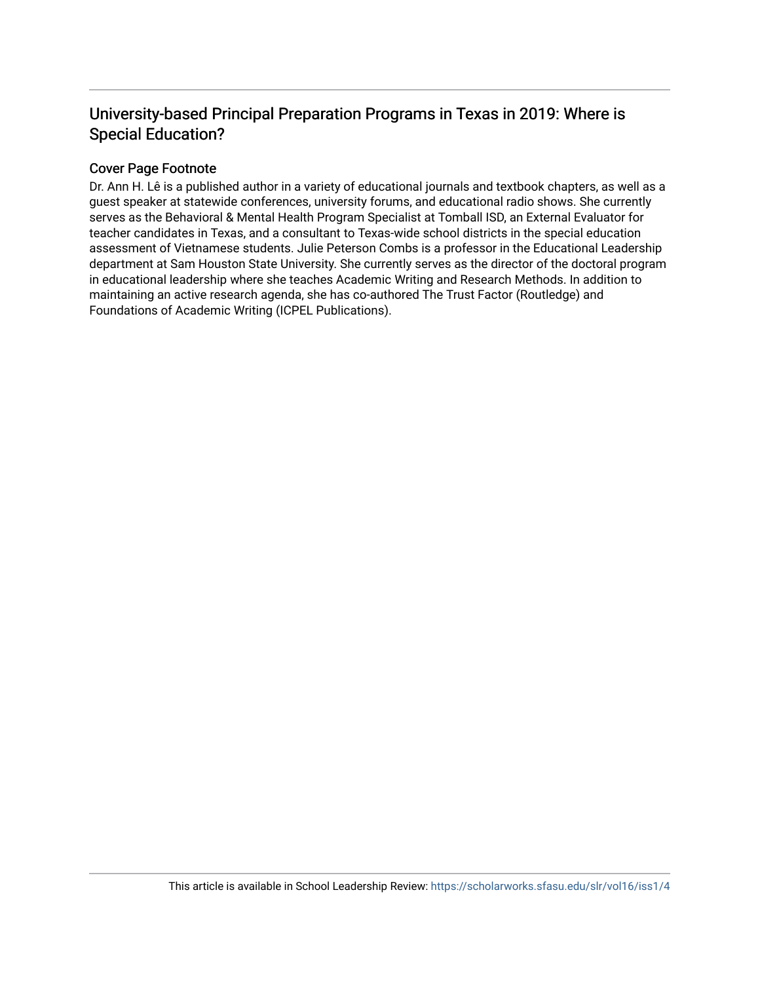## University-based Principal Preparation Programs in Texas in 2019: Where is Special Education?

## Cover Page Footnote

Dr. Ann H. Lê is a published author in a variety of educational journals and textbook chapters, as well as a guest speaker at statewide conferences, university forums, and educational radio shows. She currently serves as the Behavioral & Mental Health Program Specialist at Tomball ISD, an External Evaluator for teacher candidates in Texas, and a consultant to Texas-wide school districts in the special education assessment of Vietnamese students. Julie Peterson Combs is a professor in the Educational Leadership department at Sam Houston State University. She currently serves as the director of the doctoral program in educational leadership where she teaches Academic Writing and Research Methods. In addition to maintaining an active research agenda, she has co-authored The Trust Factor (Routledge) and Foundations of Academic Writing (ICPEL Publications).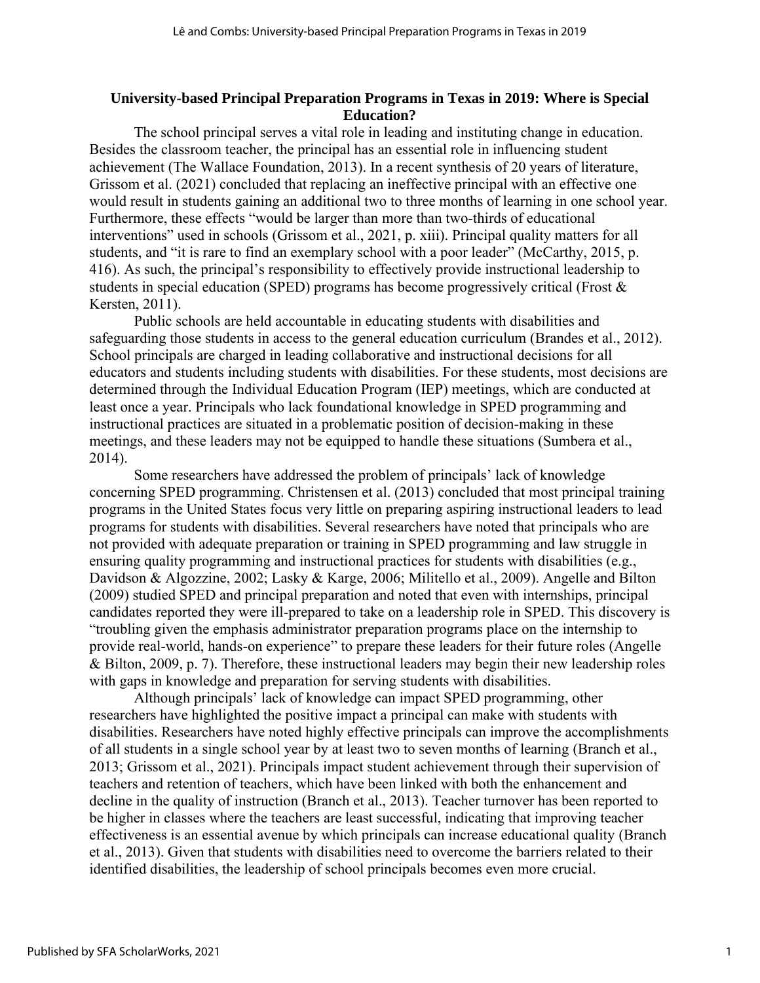#### **University-based Principal Preparation Programs in Texas in 2019: Where is Special Education?**

The school principal serves a vital role in leading and instituting change in education. Besides the classroom teacher, the principal has an essential role in influencing student achievement (The Wallace Foundation, 2013). In a recent synthesis of 20 years of literature, Grissom et al. (2021) concluded that replacing an ineffective principal with an effective one would result in students gaining an additional two to three months of learning in one school year. Furthermore, these effects "would be larger than more than two-thirds of educational interventions" used in schools (Grissom et al., 2021, p. xiii). Principal quality matters for all students, and "it is rare to find an exemplary school with a poor leader" (McCarthy, 2015, p. 416). As such, the principal's responsibility to effectively provide instructional leadership to students in special education (SPED) programs has become progressively critical (Frost & Kersten, 2011).

Public schools are held accountable in educating students with disabilities and safeguarding those students in access to the general education curriculum (Brandes et al., 2012). School principals are charged in leading collaborative and instructional decisions for all educators and students including students with disabilities. For these students, most decisions are determined through the Individual Education Program (IEP) meetings, which are conducted at least once a year. Principals who lack foundational knowledge in SPED programming and instructional practices are situated in a problematic position of decision-making in these meetings, and these leaders may not be equipped to handle these situations (Sumbera et al., 2014).

Some researchers have addressed the problem of principals' lack of knowledge concerning SPED programming. Christensen et al. (2013) concluded that most principal training programs in the United States focus very little on preparing aspiring instructional leaders to lead programs for students with disabilities. Several researchers have noted that principals who are not provided with adequate preparation or training in SPED programming and law struggle in ensuring quality programming and instructional practices for students with disabilities (e.g., Davidson & Algozzine, 2002; Lasky & Karge, 2006; Militello et al., 2009). Angelle and Bilton (2009) studied SPED and principal preparation and noted that even with internships, principal candidates reported they were ill-prepared to take on a leadership role in SPED. This discovery is "troubling given the emphasis administrator preparation programs place on the internship to provide real-world, hands-on experience" to prepare these leaders for their future roles (Angelle & Bilton, 2009, p. 7). Therefore, these instructional leaders may begin their new leadership roles with gaps in knowledge and preparation for serving students with disabilities.

Although principals' lack of knowledge can impact SPED programming, other researchers have highlighted the positive impact a principal can make with students with disabilities. Researchers have noted highly effective principals can improve the accomplishments of all students in a single school year by at least two to seven months of learning (Branch et al., 2013; Grissom et al., 2021). Principals impact student achievement through their supervision of teachers and retention of teachers, which have been linked with both the enhancement and decline in the quality of instruction (Branch et al., 2013). Teacher turnover has been reported to be higher in classes where the teachers are least successful, indicating that improving teacher effectiveness is an essential avenue by which principals can increase educational quality (Branch et al., 2013). Given that students with disabilities need to overcome the barriers related to their identified disabilities, the leadership of school principals becomes even more crucial.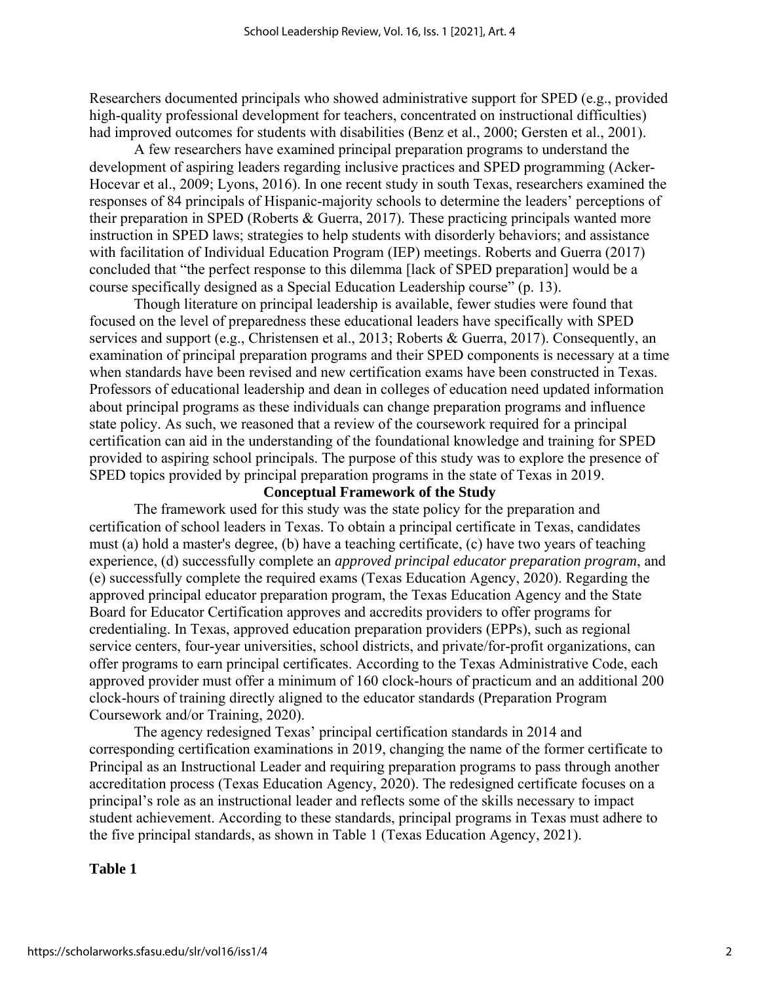Researchers documented principals who showed administrative support for SPED (e.g., provided high-quality professional development for teachers, concentrated on instructional difficulties) had improved outcomes for students with disabilities (Benz et al., 2000; Gersten et al., 2001).

A few researchers have examined principal preparation programs to understand the development of aspiring leaders regarding inclusive practices and SPED programming (Acker-Hocevar et al., 2009; Lyons, 2016). In one recent study in south Texas, researchers examined the responses of 84 principals of Hispanic-majority schools to determine the leaders' perceptions of their preparation in SPED (Roberts & Guerra, 2017). These practicing principals wanted more instruction in SPED laws; strategies to help students with disorderly behaviors; and assistance with facilitation of Individual Education Program (IEP) meetings. Roberts and Guerra (2017) concluded that "the perfect response to this dilemma [lack of SPED preparation] would be a course specifically designed as a Special Education Leadership course" (p. 13).

Though literature on principal leadership is available, fewer studies were found that focused on the level of preparedness these educational leaders have specifically with SPED services and support (e.g., Christensen et al., 2013; Roberts & Guerra, 2017). Consequently, an examination of principal preparation programs and their SPED components is necessary at a time when standards have been revised and new certification exams have been constructed in Texas. Professors of educational leadership and dean in colleges of education need updated information about principal programs as these individuals can change preparation programs and influence state policy. As such, we reasoned that a review of the coursework required for a principal certification can aid in the understanding of the foundational knowledge and training for SPED provided to aspiring school principals. The purpose of this study was to explore the presence of SPED topics provided by principal preparation programs in the state of Texas in 2019.

## **Conceptual Framework of the Study**

The framework used for this study was the state policy for the preparation and certification of school leaders in Texas. To obtain a principal certificate in Texas, candidates must (a) hold a master's degree, (b) have a teaching certificate, (c) have two years of teaching experience, (d) successfully complete an *approved principal educator preparation program*, and (e) successfully complete the required exams (Texas Education Agency, 2020). Regarding the approved principal educator preparation program, the Texas Education Agency and the State Board for Educator Certification approves and accredits providers to offer programs for credentialing. In Texas, approved education preparation providers (EPPs), such as regional service centers, four-year universities, school districts, and private/for-profit organizations, can offer programs to earn principal certificates. According to the Texas Administrative Code, each approved provider must offer a minimum of 160 clock-hours of practicum and an additional 200 clock-hours of training directly aligned to the educator standards (Preparation Program Coursework and/or Training, 2020).

The agency redesigned Texas' principal certification standards in 2014 and corresponding certification examinations in 2019, changing the name of the former certificate to Principal as an Instructional Leader and requiring preparation programs to pass through another accreditation process (Texas Education Agency, 2020). The redesigned certificate focuses on a principal's role as an instructional leader and reflects some of the skills necessary to impact student achievement. According to these standards, principal programs in Texas must adhere to the five principal standards, as shown in Table 1 (Texas Education Agency, 2021).

#### **Table 1**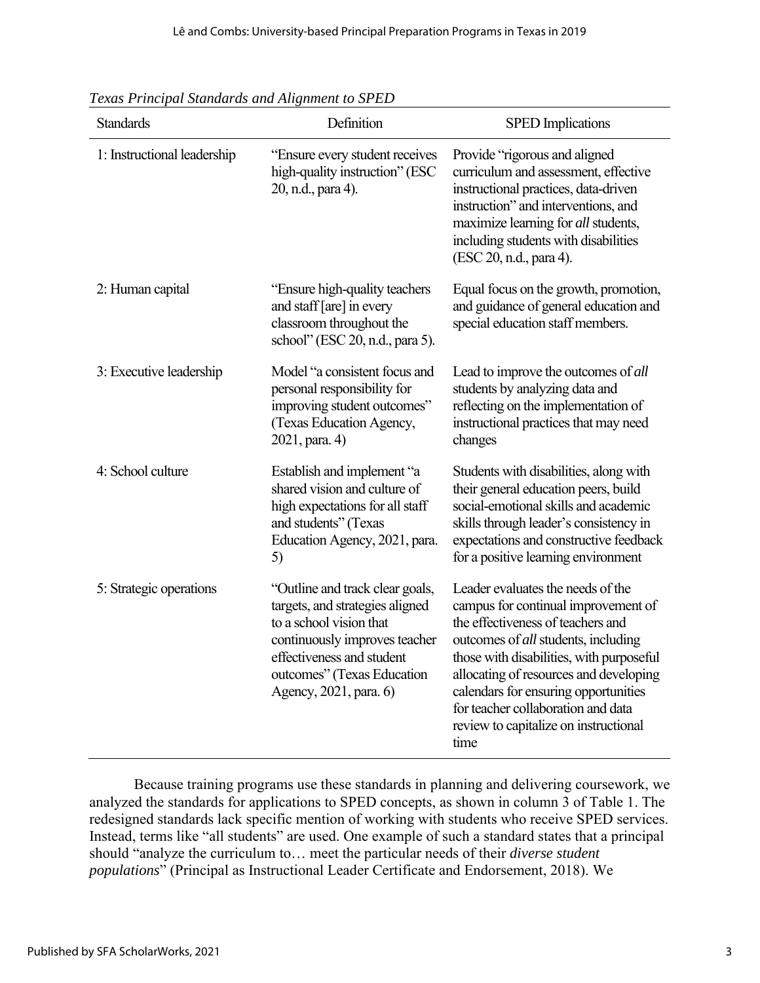| <b>Standards</b>            | Definition                                                                                                                                                                                                          | <b>SPED</b> Implications                                                                                                                                                                                                                                                                                                                                                         |  |
|-----------------------------|---------------------------------------------------------------------------------------------------------------------------------------------------------------------------------------------------------------------|----------------------------------------------------------------------------------------------------------------------------------------------------------------------------------------------------------------------------------------------------------------------------------------------------------------------------------------------------------------------------------|--|
| 1: Instructional leadership | "Ensure every student receives<br>high-quality instruction" (ESC<br>20, n.d., para 4).                                                                                                                              | Provide "rigorous and aligned<br>curriculum and assessment, effective<br>instructional practices, data-driven<br>instruction" and interventions, and<br>maximize learning for all students,<br>including students with disabilities<br>(ESC 20, n.d., para 4).                                                                                                                   |  |
| 2: Human capital            | "Ensure high-quality teachers"<br>and staff [are] in every<br>classroom throughout the<br>school" (ESC 20, n.d., para 5).                                                                                           | Equal focus on the growth, promotion,<br>and guidance of general education and<br>special education staff members.                                                                                                                                                                                                                                                               |  |
| 3: Executive leadership     | Model "a consistent focus and<br>personal responsibility for<br>improving student outcomes"<br>(Texas Education Agency,<br>2021, para. 4)                                                                           | Lead to improve the outcomes of all<br>students by analyzing data and<br>reflecting on the implementation of<br>instructional practices that may need<br>changes                                                                                                                                                                                                                 |  |
| 4: School culture           | Establish and implement "a<br>shared vision and culture of<br>high expectations for all staff<br>and students" (Texas<br>Education Agency, 2021, para.<br>5)                                                        | Students with disabilities, along with<br>their general education peers, build<br>social-emotional skills and academic<br>skills through leader's consistency in<br>expectations and constructive feedback<br>for a positive learning environment                                                                                                                                |  |
| 5: Strategic operations     | "Outline and track clear goals,<br>targets, and strategies aligned<br>to a school vision that<br>continuously improves teacher<br>effectiveness and student<br>outcomes" (Texas Education<br>Agency, 2021, para. 6) | Leader evaluates the needs of the<br>campus for continual improvement of<br>the effectiveness of teachers and<br>outcomes of <i>all</i> students, including<br>those with disabilities, with purposeful<br>allocating of resources and developing<br>calendars for ensuring opportunities<br>for teacher collaboration and data<br>review to capitalize on instructional<br>time |  |

*Texas Principal Standards and Alignment to SPED* 

Because training programs use these standards in planning and delivering coursework, we analyzed the standards for applications to SPED concepts, as shown in column 3 of Table 1. The redesigned standards lack specific mention of working with students who receive SPED services. Instead, terms like "all students" are used. One example of such a standard states that a principal should "analyze the curriculum to… meet the particular needs of their *diverse student populations*" (Principal as Instructional Leader Certificate and Endorsement, 2018). We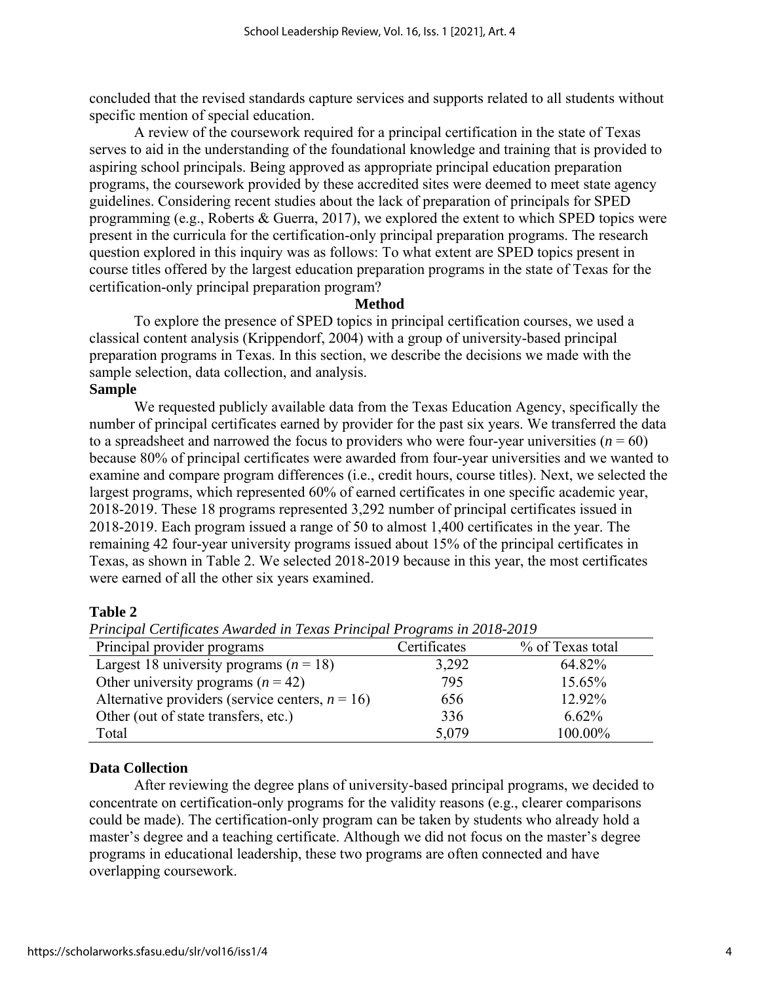concluded that the revised standards capture services and supports related to all students without specific mention of special education.

A review of the coursework required for a principal certification in the state of Texas serves to aid in the understanding of the foundational knowledge and training that is provided to aspiring school principals. Being approved as appropriate principal education preparation programs, the coursework provided by these accredited sites were deemed to meet state agency guidelines. Considering recent studies about the lack of preparation of principals for SPED programming (e.g., Roberts & Guerra, 2017), we explored the extent to which SPED topics were present in the curricula for the certification-only principal preparation programs. The research question explored in this inquiry was as follows: To what extent are SPED topics present in course titles offered by the largest education preparation programs in the state of Texas for the certification-only principal preparation program?

#### **Method**

To explore the presence of SPED topics in principal certification courses, we used a classical content analysis (Krippendorf, 2004) with a group of university-based principal preparation programs in Texas. In this section, we describe the decisions we made with the sample selection, data collection, and analysis.

## **Sample**

We requested publicly available data from the Texas Education Agency, specifically the number of principal certificates earned by provider for the past six years. We transferred the data to a spreadsheet and narrowed the focus to providers who were four-year universities  $(n = 60)$ because 80% of principal certificates were awarded from four-year universities and we wanted to examine and compare program differences (i.e., credit hours, course titles). Next, we selected the largest programs, which represented 60% of earned certificates in one specific academic year, 2018-2019. These 18 programs represented 3,292 number of principal certificates issued in 2018-2019. Each program issued a range of 50 to almost 1,400 certificates in the year. The remaining 42 four-year university programs issued about 15% of the principal certificates in Texas, as shown in Table 2. We selected 2018-2019 because in this year, the most certificates were earned of all the other six years examined.

## **Table 2**

| $\cdots$                                           |              |                  |  |  |  |  |  |
|----------------------------------------------------|--------------|------------------|--|--|--|--|--|
| Principal provider programs                        | Certificates | % of Texas total |  |  |  |  |  |
| Largest 18 university programs ( $n = 18$ )        | 3,292        | 64.82%           |  |  |  |  |  |
| Other university programs $(n = 42)$               | 795          | 15.65%           |  |  |  |  |  |
| Alternative providers (service centers, $n = 16$ ) | 656          | 12.92%           |  |  |  |  |  |
| Other (out of state transfers, etc.)               | 336          | 6.62%            |  |  |  |  |  |
| Total                                              | 5,079        | 100.00%          |  |  |  |  |  |

*Principal Certificates Awarded in Texas Principal Programs in 2018-2019*

## **Data Collection**

After reviewing the degree plans of university-based principal programs, we decided to concentrate on certification-only programs for the validity reasons (e.g., clearer comparisons could be made). The certification-only program can be taken by students who already hold a master's degree and a teaching certificate. Although we did not focus on the master's degree programs in educational leadership, these two programs are often connected and have overlapping coursework.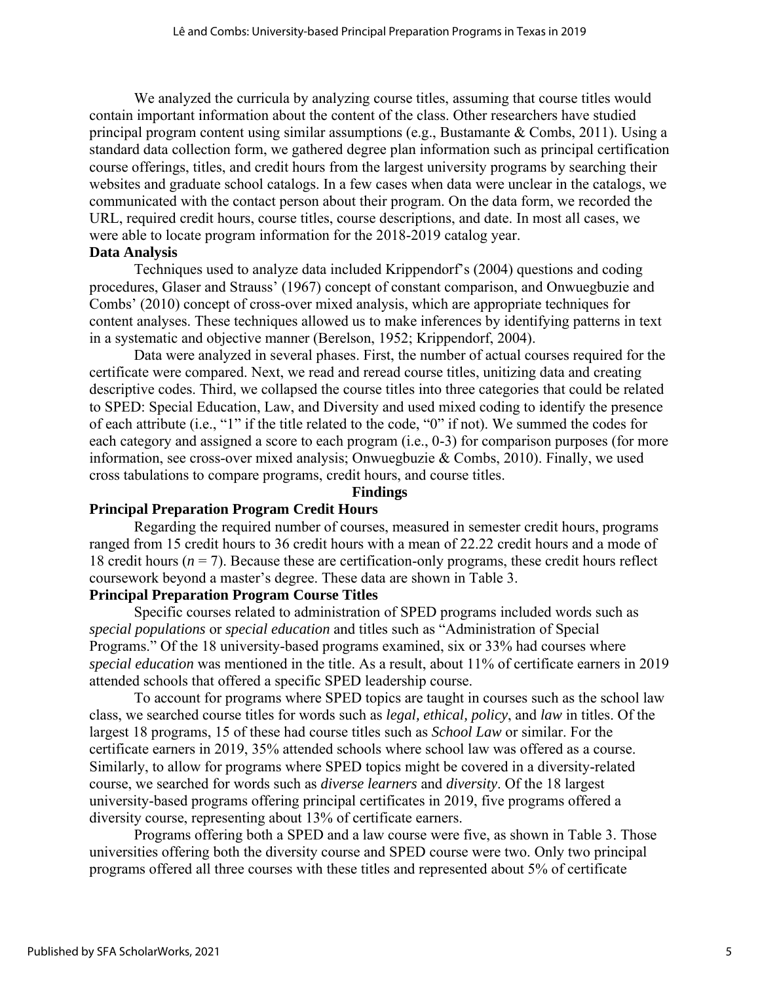We analyzed the curricula by analyzing course titles, assuming that course titles would contain important information about the content of the class. Other researchers have studied principal program content using similar assumptions (e.g., Bustamante & Combs, 2011). Using a standard data collection form, we gathered degree plan information such as principal certification course offerings, titles, and credit hours from the largest university programs by searching their websites and graduate school catalogs. In a few cases when data were unclear in the catalogs, we communicated with the contact person about their program. On the data form, we recorded the URL, required credit hours, course titles, course descriptions, and date. In most all cases, we were able to locate program information for the 2018-2019 catalog year.

#### **Data Analysis**

Techniques used to analyze data included Krippendorf's (2004) questions and coding procedures, Glaser and Strauss' (1967) concept of constant comparison, and Onwuegbuzie and Combs' (2010) concept of cross-over mixed analysis, which are appropriate techniques for content analyses. These techniques allowed us to make inferences by identifying patterns in text in a systematic and objective manner (Berelson, 1952; Krippendorf, 2004).

Data were analyzed in several phases. First, the number of actual courses required for the certificate were compared. Next, we read and reread course titles, unitizing data and creating descriptive codes. Third, we collapsed the course titles into three categories that could be related to SPED: Special Education, Law, and Diversity and used mixed coding to identify the presence of each attribute (i.e., "1" if the title related to the code, "0" if not). We summed the codes for each category and assigned a score to each program (i.e., 0-3) for comparison purposes (for more information, see cross-over mixed analysis; Onwuegbuzie & Combs, 2010). Finally, we used cross tabulations to compare programs, credit hours, and course titles.

#### **Findings**

#### **Principal Preparation Program Credit Hours**

Regarding the required number of courses, measured in semester credit hours, programs ranged from 15 credit hours to 36 credit hours with a mean of 22.22 credit hours and a mode of 18 credit hours (*n* = 7). Because these are certification-only programs, these credit hours reflect coursework beyond a master's degree. These data are shown in Table 3.

## **Principal Preparation Program Course Titles**

Specific courses related to administration of SPED programs included words such as *special populations* or *special education* and titles such as "Administration of Special Programs." Of the 18 university-based programs examined, six or 33% had courses where *special education* was mentioned in the title. As a result, about 11% of certificate earners in 2019 attended schools that offered a specific SPED leadership course.

To account for programs where SPED topics are taught in courses such as the school law class, we searched course titles for words such as *legal, ethical, policy*, and *law* in titles. Of the largest 18 programs, 15 of these had course titles such as *School Law* or similar. For the certificate earners in 2019, 35% attended schools where school law was offered as a course. Similarly, to allow for programs where SPED topics might be covered in a diversity-related course, we searched for words such as *diverse learners* and *diversity*. Of the 18 largest university-based programs offering principal certificates in 2019, five programs offered a diversity course, representing about 13% of certificate earners.

Programs offering both a SPED and a law course were five, as shown in Table 3. Those universities offering both the diversity course and SPED course were two. Only two principal programs offered all three courses with these titles and represented about 5% of certificate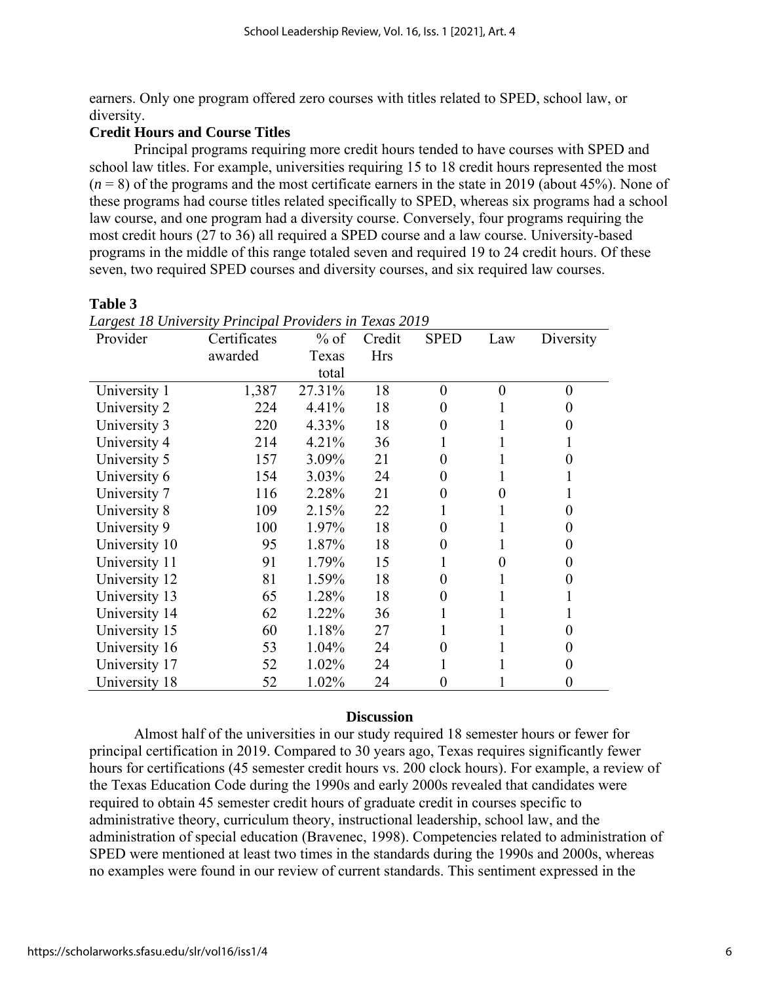earners. Only one program offered zero courses with titles related to SPED, school law, or diversity.

## **Credit Hours and Course Titles**

Principal programs requiring more credit hours tended to have courses with SPED and school law titles. For example, universities requiring 15 to 18 credit hours represented the most  $(n = 8)$  of the programs and the most certificate earners in the state in 2019 (about 45%). None of these programs had course titles related specifically to SPED, whereas six programs had a school law course, and one program had a diversity course. Conversely, four programs requiring the most credit hours (27 to 36) all required a SPED course and a law course. University-based programs in the middle of this range totaled seven and required 19 to 24 credit hours. Of these seven, two required SPED courses and diversity courses, and six required law courses.

## **Table 3**

| Provider      | Certificates | $%$ of | Credit     | <b>SPED</b> | Law      | Diversity    |
|---------------|--------------|--------|------------|-------------|----------|--------------|
|               | awarded      | Texas  | <b>Hrs</b> |             |          |              |
|               |              | total  |            |             |          |              |
| University 1  | 1,387        | 27.31% | 18         | $\theta$    | $\theta$ | 0            |
| University 2  | 224          | 4.41%  | 18         | 0           |          | 0            |
| University 3  | 220          | 4.33%  | 18         | 0           |          | $\mathbf{0}$ |
| University 4  | 214          | 4.21%  | 36         |             |          |              |
| University 5  | 157          | 3.09%  | 21         | 0           |          | 0            |
| University 6  | 154          | 3.03%  | 24         | 0           |          |              |
| University 7  | 116          | 2.28%  | 21         | 0           | 0        | 1            |
| University 8  | 109          | 2.15%  | 22         |             |          | 0            |
| University 9  | 100          | 1.97%  | 18         | 0           |          | 0            |
| University 10 | 95           | 1.87%  | 18         | 0           |          | 0            |
| University 11 | 91           | 1.79%  | 15         |             | 0        | 0            |
| University 12 | 81           | 1.59%  | 18         | 0           |          | 0            |
| University 13 | 65           | 1.28%  | 18         | 0           |          |              |
| University 14 | 62           | 1.22%  | 36         |             |          | ш            |
| University 15 | 60           | 1.18%  | 27         |             |          | 0            |
| University 16 | 53           | 1.04%  | 24         | 0           |          | 0            |
| University 17 | 52           | 1.02%  | 24         |             |          | 0            |
| University 18 | 52           | 1.02%  | 24         | 0           |          |              |

*Largest 18 University Principal Providers in Texas 2019*

## **Discussion**

Almost half of the universities in our study required 18 semester hours or fewer for principal certification in 2019. Compared to 30 years ago, Texas requires significantly fewer hours for certifications (45 semester credit hours vs. 200 clock hours). For example, a review of the Texas Education Code during the 1990s and early 2000s revealed that candidates were required to obtain 45 semester credit hours of graduate credit in courses specific to administrative theory, curriculum theory, instructional leadership, school law, and the administration of special education (Bravenec, 1998). Competencies related to administration of SPED were mentioned at least two times in the standards during the 1990s and 2000s, whereas no examples were found in our review of current standards. This sentiment expressed in the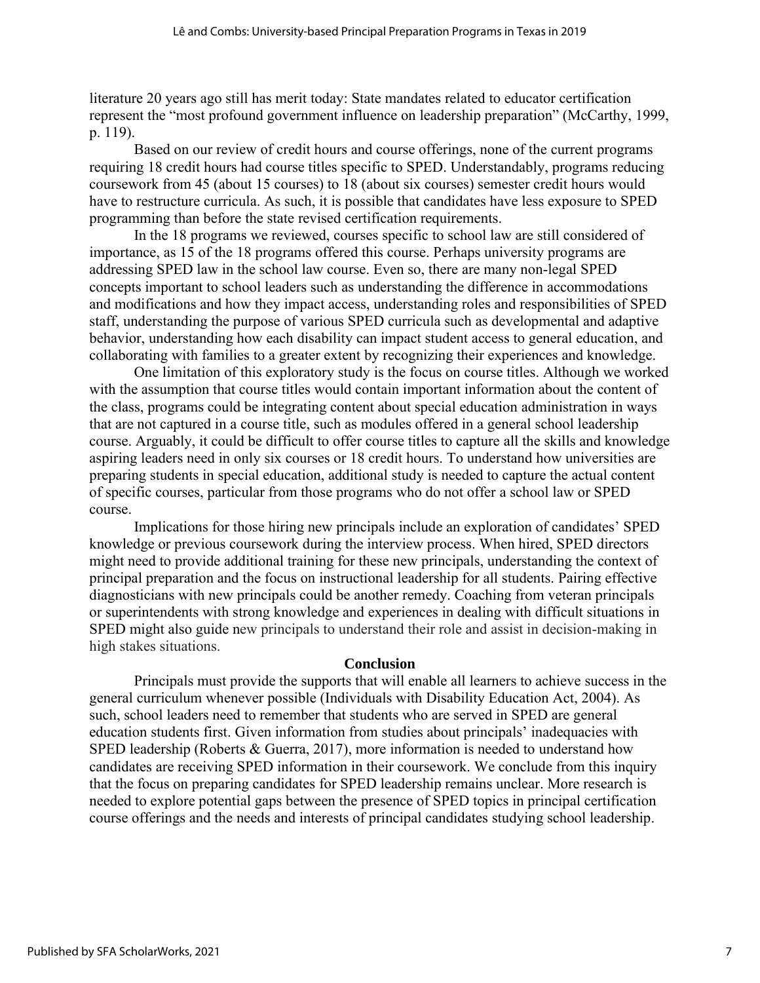literature 20 years ago still has merit today: State mandates related to educator certification represent the "most profound government influence on leadership preparation" (McCarthy, 1999, p. 119).

Based on our review of credit hours and course offerings, none of the current programs requiring 18 credit hours had course titles specific to SPED. Understandably, programs reducing coursework from 45 (about 15 courses) to 18 (about six courses) semester credit hours would have to restructure curricula. As such, it is possible that candidates have less exposure to SPED programming than before the state revised certification requirements.

In the 18 programs we reviewed, courses specific to school law are still considered of importance, as 15 of the 18 programs offered this course. Perhaps university programs are addressing SPED law in the school law course. Even so, there are many non-legal SPED concepts important to school leaders such as understanding the difference in accommodations and modifications and how they impact access, understanding roles and responsibilities of SPED staff, understanding the purpose of various SPED curricula such as developmental and adaptive behavior, understanding how each disability can impact student access to general education, and collaborating with families to a greater extent by recognizing their experiences and knowledge.

One limitation of this exploratory study is the focus on course titles. Although we worked with the assumption that course titles would contain important information about the content of the class, programs could be integrating content about special education administration in ways that are not captured in a course title, such as modules offered in a general school leadership course. Arguably, it could be difficult to offer course titles to capture all the skills and knowledge aspiring leaders need in only six courses or 18 credit hours. To understand how universities are preparing students in special education, additional study is needed to capture the actual content of specific courses, particular from those programs who do not offer a school law or SPED course.

Implications for those hiring new principals include an exploration of candidates' SPED knowledge or previous coursework during the interview process. When hired, SPED directors might need to provide additional training for these new principals, understanding the context of principal preparation and the focus on instructional leadership for all students. Pairing effective diagnosticians with new principals could be another remedy. Coaching from veteran principals or superintendents with strong knowledge and experiences in dealing with difficult situations in SPED might also guide new principals to understand their role and assist in decision-making in high stakes situations.

#### **Conclusion**

Principals must provide the supports that will enable all learners to achieve success in the general curriculum whenever possible (Individuals with Disability Education Act, 2004). As such, school leaders need to remember that students who are served in SPED are general education students first. Given information from studies about principals' inadequacies with SPED leadership (Roberts & Guerra, 2017), more information is needed to understand how candidates are receiving SPED information in their coursework. We conclude from this inquiry that the focus on preparing candidates for SPED leadership remains unclear. More research is needed to explore potential gaps between the presence of SPED topics in principal certification course offerings and the needs and interests of principal candidates studying school leadership.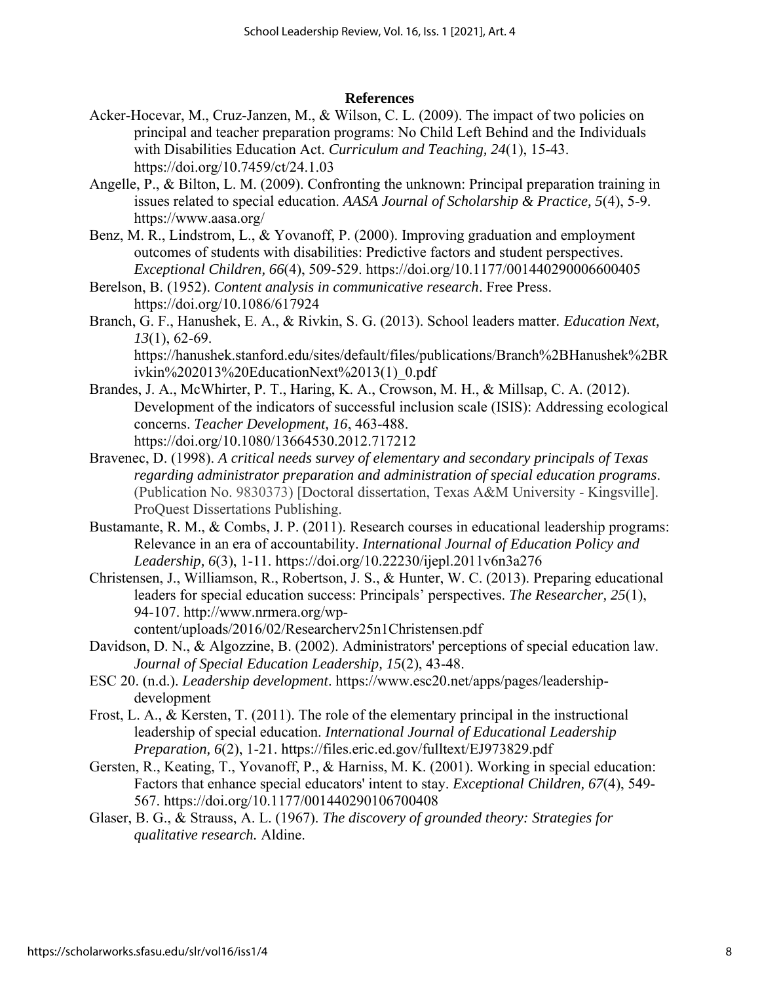#### **References**

- Acker-Hocevar, M., Cruz-Janzen, M., & Wilson, C. L. (2009). The impact of two policies on principal and teacher preparation programs: No Child Left Behind and the Individuals with Disabilities Education Act. *Curriculum and Teaching, 24*(1), 15-43. https://doi.org/10.7459/ct/24.1.03
- Angelle, P., & Bilton, L. M. (2009). Confronting the unknown: Principal preparation training in issues related to special education. *AASA Journal of Scholarship & Practice, 5*(4), 5-9. https://www.aasa.org/
- Benz, M. R., Lindstrom, L., & Yovanoff, P. (2000). Improving graduation and employment outcomes of students with disabilities: Predictive factors and student perspectives. *Exceptional Children, 66*(4), 509-529. https://doi.org/10.1177/001440290006600405
- Berelson, B. (1952). *Content analysis in communicative research*. Free Press. https://doi.org/10.1086/617924
- Branch, G. F., Hanushek, E. A., & Rivkin, S. G. (2013). School leaders matter*. Education Next, 13*(1), 62-69.

https://hanushek.stanford.edu/sites/default/files/publications/Branch%2BHanushek%2BR ivkin%202013%20EducationNext%2013(1)\_0.pdf

- Brandes, J. A., McWhirter, P. T., Haring, K. A., Crowson, M. H., & Millsap, C. A. (2012). Development of the indicators of successful inclusion scale (ISIS): Addressing ecological concerns. *Teacher Development, 16*, 463-488. https://doi.org/10.1080/13664530.2012.717212
- Bravenec, D. (1998). *A critical needs survey of elementary and secondary principals of Texas regarding administrator preparation and administration of special education programs*. (Publication No. 9830373) [Doctoral dissertation, Texas A&M University - Kingsville]. ProQuest Dissertations Publishing.
- Bustamante, R. M., & Combs, J. P. (2011). Research courses in educational leadership programs: Relevance in an era of accountability. *International Journal of Education Policy and Leadership, 6*(3), 1-11. https://doi.org/10.22230/ijepl.2011v6n3a276
- Christensen, J., Williamson, R., Robertson, J. S., & Hunter, W. C. (2013). Preparing educational leaders for special education success: Principals' perspectives. *The Researcher, 25*(1), 94-107. http://www.nrmera.org/wpcontent/uploads/2016/02/Researcherv25n1Christensen.pdf
- Davidson, D. N., & Algozzine, B. (2002). Administrators' perceptions of special education law. *Journal of Special Education Leadership, 15*(2), 43-48.
- ESC 20. (n.d.). *Leadership development*. https://www.esc20.net/apps/pages/leadershipdevelopment
- Frost, L. A., & Kersten, T. (2011). The role of the elementary principal in the instructional leadership of special education. *International Journal of Educational Leadership Preparation, 6*(2), 1-21. https://files.eric.ed.gov/fulltext/EJ973829.pdf
- Gersten, R., Keating, T., Yovanoff, P., & Harniss, M. K. (2001). Working in special education: Factors that enhance special educators' intent to stay. *Exceptional Children, 67*(4), 549- 567. https://doi.org/10.1177/001440290106700408
- Glaser, B. G., & Strauss, A. L. (1967). *The discovery of grounded theory: Strategies for qualitative research.* Aldine.